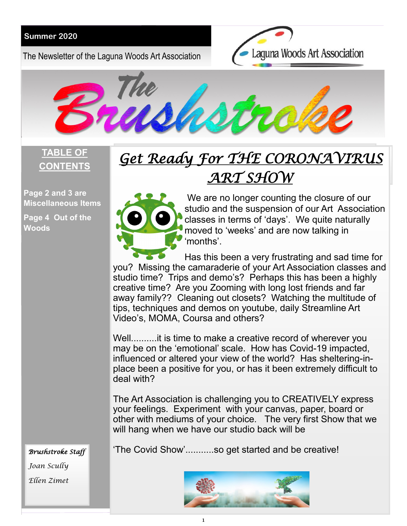#### **Summer 2020**

The Newsletter of the Laguna Woods Art Association





#### **TABLE OF CONTENTS**

**Page 2 and 3 are Miscellaneous Items** 

**Page 4 Out of the Woods**

# *Get Ready For THE CORONAVIRUS ART SHOW*



l

We are no longer counting the closure of our studio and the suspension of our Art Association classes in terms of 'days'. We quite naturally moved to 'weeks' and are now talking in 'months'.

Has this been a very frustrating and sad time for you? Missing the camaraderie of your Art Association classes and studio time? Trips and demo's? Perhaps this has been a highly creative time? Are you Zooming with long lost friends and far away family?? Cleaning out closets? Watching the multitude of tips, techniques and demos on youtube, daily Streamline Art Video's, MOMA, Coursa and others?

Well..........it is time to make a creative record of wherever you may be on the 'emotional' scale. How has Covid-19 impacted, influenced or altered your view of the world? Has sheltering-inplace been a positive for you, or has it been extremely difficult to deal with?

The Art Association is challenging you to CREATIVELY express your feelings. Experiment with your canvas, paper, board or other with mediums of your choice. The very first Show that we will hang when we have our studio back will be

'The Covid Show'...........so get started and be creative!

*Joan Scully Ellen Zimet*

*Brushstroke Staff* 

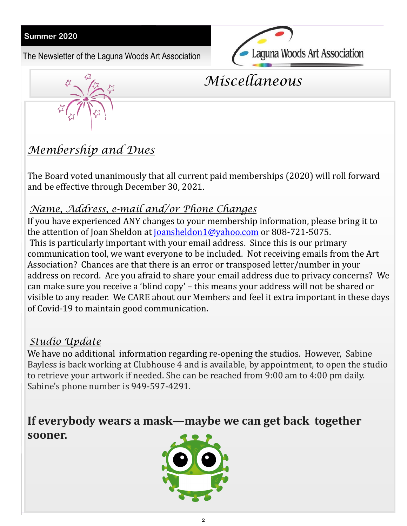#### **Summer 2020**

The Newsletter of the Laguna Woods Art Association





## *Miscellaneous*

## *Membership and Dues*

The Board voted unanimously that all current paid memberships (2020) will roll forward and be effective through December 30, 2021.

#### *Name, Address, e-mail and/or Phone Changes*

If you have experienced ANY changes to your membership information, please bring it to the attention of Joan Sheldon at [joansheldon1@yahoo.com](mailto:joansheldon1@yahoo.com) or 808-721-5075. This is particularly important with your email address. Since this is our primary communication tool, we want everyone to be included. Not receiving emails from the Art Association? Chances are that there is an error or transposed letter/number in your address on record. Are you afraid to share your email address due to privacy concerns? We can make sure you receive a 'blind copy' – this means your address will not be shared or visible to any reader. We CARE about our Members and feel it extra important in these days of Covid-19 to maintain good communication.

### *Studio Update*

We have no additional information regarding re-opening the studios. However, Sabine Bayless is back working at Clubhouse 4 and is available, by appointment, to open the studio to retrieve your artwork if needed. She can be reached from 9:00 am to 4:00 pm daily. Sabine's phone number is 949-597-4291.

## **If everybody wears a mask—maybe we can get back together sooner.**

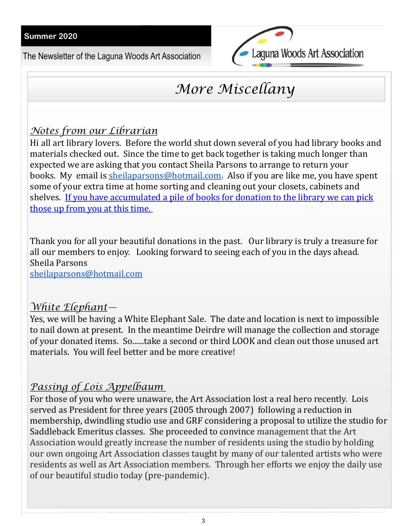The Newsletter of the Laguna Woods Art Association



## *More Miscellany*

#### *Notes from our Librarian*

Hi all art library lovers. Before the world shut down several of you had library books and materials checked out. Since the time to get back together is taking much longer than expected we are asking that you contact Sheila Parsons to arrange to return your books. My email is [sheilaparsons@hotmail.com.](mailto:sheilaparsons@hotmail.com) Also if you are like me, you have spent some of your extra time at home sorting and cleaning out your closets, cabinets and shelves. If you have accumulated a pile of books for donation to the library we can pick those up from you at this time.

Thank you for all your beautiful donations in the past. Our library is truly a treasure for all our members to enjoy. Looking forward to seeing each of you in the days ahead. Sheila Parsons

[sheilaparsons@hotmail.com](mailto:sheilaparsons@hotmail.com)

#### *White Elephant—*

Yes, we will be having a White Elephant Sale. The date and location is next to impossible to nail down at present. In the meantime Deirdre will manage the collection and storage of your donated items. So......take a second or third LOOK and clean out those unused art materials. You will feel better and be more creative!

### *Passing of Lois Appelbaum*

For those of you who were unaware, the Art Association lost a real hero recently. Lois served as President for three years (2005 through 2007) following a reduction in membership, dwindling studio use and GRF considering a proposal to utilize the studio for Saddleback Emeritus classes. She proceeded to convince management that the Art Association would greatly increase the number of residents using the studio by holding our own ongoing Art Association classes taught by many of our talented artists who were residents as well as Art Association members. Through her efforts we enjoy the daily use of our beautiful studio today (pre-pandemic).